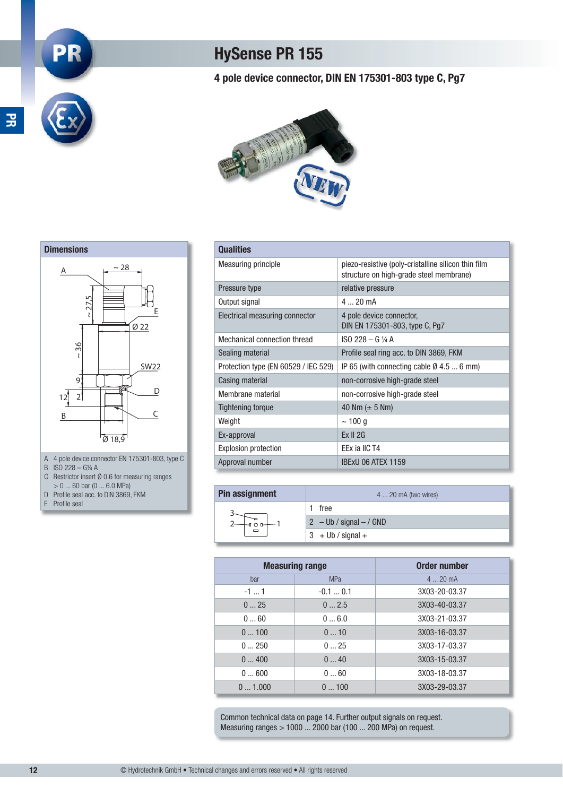## **HySense PR 155**

### **4 pole device connector, DIN EN 175301-803 type C, Pg7**



#### **Qualities**

| Qualities                            |                                                                                                |
|--------------------------------------|------------------------------------------------------------------------------------------------|
| <b>Measuring principle</b>           | piezo-resistive (poly-cristalline silicon thin film<br>structure on high-grade steel membrane) |
| Pressure type                        | relative pressure                                                                              |
| Output signal                        | $420$ mA                                                                                       |
| Electrical measuring connector       | 4 pole device connector,<br>DIN EN 175301-803, type C, Pg7                                     |
| Mechanical connection thread         | ISO 228 - G 1/4 A                                                                              |
| Sealing material                     | Profile seal ring acc. to DIN 3869, FKM                                                        |
| Protection type (EN 60529 / IEC 529) | IP 65 (with connecting cable $\emptyset$ 4.5  6 mm)                                            |
| Casing material                      | non-corrosive high-grade steel                                                                 |
| Membrane material                    | non-corrosive high-grade steel                                                                 |
| <b>Tightening torque</b>             | 40 Nm $(\pm 5$ Nm)                                                                             |
| Weight                               | $\sim$ 100 g                                                                                   |
| Ex-approval                          | Ex II 2G                                                                                       |
| <b>Explosion protection</b>          | EEx ia IIC T4                                                                                  |
| Approval number                      | <b>IBExU 06 ATEX 1159</b>                                                                      |

| Pin assignment | 4  20 mA (two wires)      |  |
|----------------|---------------------------|--|
|                | free                      |  |
|                | $2 - Ub / signal - / GND$ |  |
|                | $3 + Ub / signal +$       |  |

| <b>Measuring range</b> |            | Order number  |
|------------------------|------------|---------------|
| bar                    | <b>MPa</b> | $420$ mA      |
| $-11$                  | $-0.10.1$  | 3X03-20-03.37 |
| 025                    | 02.5       | 3X03-40-03.37 |
| 060                    | 06.0       | 3X03-21-03.37 |
| 0100                   | 010        | 3X03-16-03.37 |
| 0250                   | 025        | 3X03-17-03.37 |
| 0400                   | 040        | 3X03-15-03.37 |
| 0600                   | 060        | 3X03-18-03.37 |
| 01.000                 | 0100       | 3X03-29-03.37 |

Common technical data on page 14. Further output signals on request. Measuring ranges > 1000 ... 2000 bar (100 ... 200 MPa) on request.



**PR**